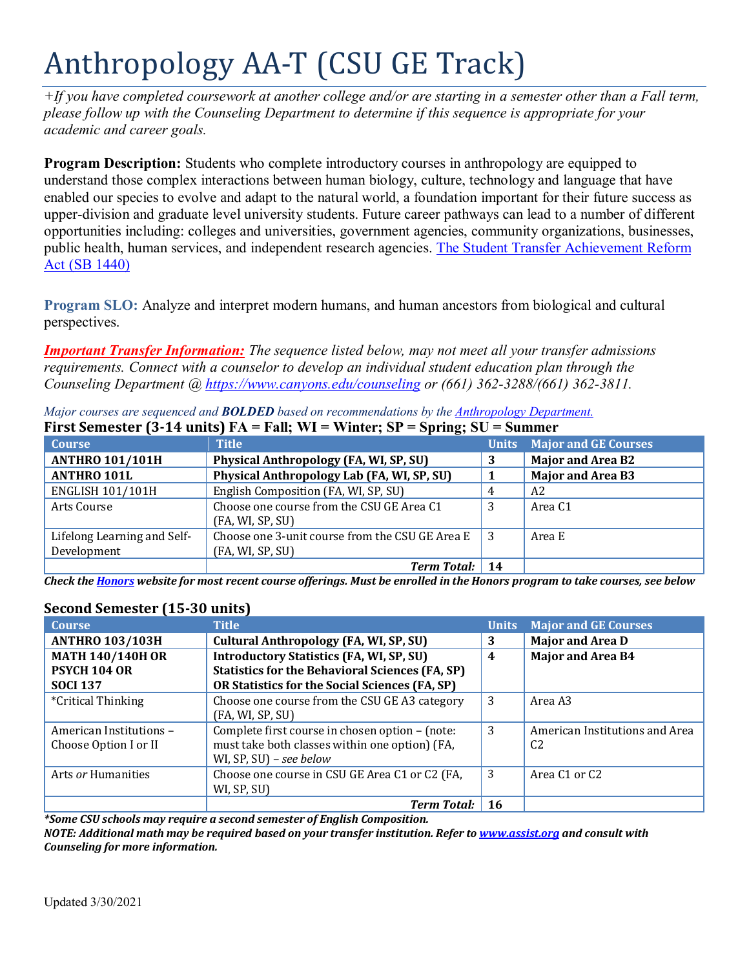# Anthropology AA-T (CSU GE Track)

*+If you have completed coursework at another college and/or are starting in a semester other than a Fall term, please follow up with the Counseling Department to determine if this sequence is appropriate for your academic and career goals.* 

**Program Description:** Students who complete introductory courses in anthropology are equipped to understand those complex interactions between human biology, culture, technology and language that have enabled our species to evolve and adapt to the natural world, a foundation important for their future success as upper-division and graduate level university students. Future career pathways can lead to a number of different opportunities including: colleges and universities, government agencies, community organizations, businesses, public health, human services, and independent research agencies. [The Student Transfer Achievement Reform](https://www2.calstate.edu/apply/transfer/Pages/ccc-associate-degree-for-transfer.aspx)  [Act \(SB 1440\)](https://www2.calstate.edu/apply/transfer/Pages/ccc-associate-degree-for-transfer.aspx)

**Program SLO:** Analyze and interpret modern humans, and human ancestors from biological and cultural perspectives.

*Important Transfer Information: The sequence listed below, may not meet all your transfer admissions requirements. Connect with a counselor to develop an individual student education plan through the Counseling Department @<https://www.canyons.edu/counseling> or (661) 362-3288/(661) 362-3811.*

| <b>Course</b>                              | <b>Title</b>                                                        | <b>Units</b> | <b>Major and GE Courses</b> |
|--------------------------------------------|---------------------------------------------------------------------|--------------|-----------------------------|
| <b>ANTHRO 101/101H</b>                     | Physical Anthropology (FA, WI, SP, SU)                              | 3            | <b>Major and Area B2</b>    |
| <b>ANTHRO 101L</b>                         | Physical Anthropology Lab (FA, WI, SP, SU)                          |              | <b>Major and Area B3</b>    |
| <b>ENGLISH 101/101H</b>                    | English Composition (FA, WI, SP, SU)                                | 4            | A2                          |
| Arts Course                                | Choose one course from the CSU GE Area C1<br>(FA, WI, SP, SU)       | 3            | Area C1                     |
| Lifelong Learning and Self-<br>Development | Choose one 3-unit course from the CSU GE Area E<br>(FA, WI, SP, SU) | l 3          | Area E                      |
|                                            | Term Total: 14                                                      |              |                             |

*Major courses are sequenced and BOLDED based on recommendations by the [Anthropology Department.](http://www.canyons.edu/anthropology)* **First Semester (3-14 units) FA = Fall; WI = Winter; SP = Spring; SU = Summer**

*Check the [Honors](https://www.canyons.edu/academics/honors/index.php) website for most recent course offerings. Must be enrolled in the Honors program to take courses, see below*

## **Second Semester (15-30 units)**

| <b>Course</b>           | <b>Title</b>                                           | <b>Units</b> | <b>Major and GE Courses</b>    |
|-------------------------|--------------------------------------------------------|--------------|--------------------------------|
| <b>ANTHRO 103/103H</b>  | Cultural Anthropology (FA, WI, SP, SU)                 | 3            | <b>Major and Area D</b>        |
| <b>MATH 140/140H OR</b> | <b>Introductory Statistics (FA, WI, SP, SU)</b>        | 4            | <b>Major and Area B4</b>       |
| <b>PSYCH 104 OR</b>     | <b>Statistics for the Behavioral Sciences (FA, SP)</b> |              |                                |
| <b>SOCI 137</b>         | OR Statistics for the Social Sciences (FA, SP)         |              |                                |
| *Critical Thinking      | Choose one course from the CSU GE A3 category          | 3            | Area A3                        |
|                         | (FA, WI, SP, SU)                                       |              |                                |
| American Institutions - | Complete first course in chosen option - (note:        | 3            | American Institutions and Area |
| Choose Option I or II   | must take both classes within one option) (FA,         |              | C <sub>2</sub>                 |
|                         | WI, SP, SU) - see below                                |              |                                |
| Arts or Humanities      | Choose one course in CSU GE Area C1 or C2 (FA,         | 3            | Area C1 or C2                  |
|                         | WI, SP, SU)                                            |              |                                |
|                         | <b>Term Total:</b>                                     | 16           |                                |

*\*Some CSU schools may require a second semester of English Composition.* 

*NOTE: Additional math may be required based on your transfer institution. Refer to [www.assist.org](http://www.assist.org/) and consult with Counseling for more information.*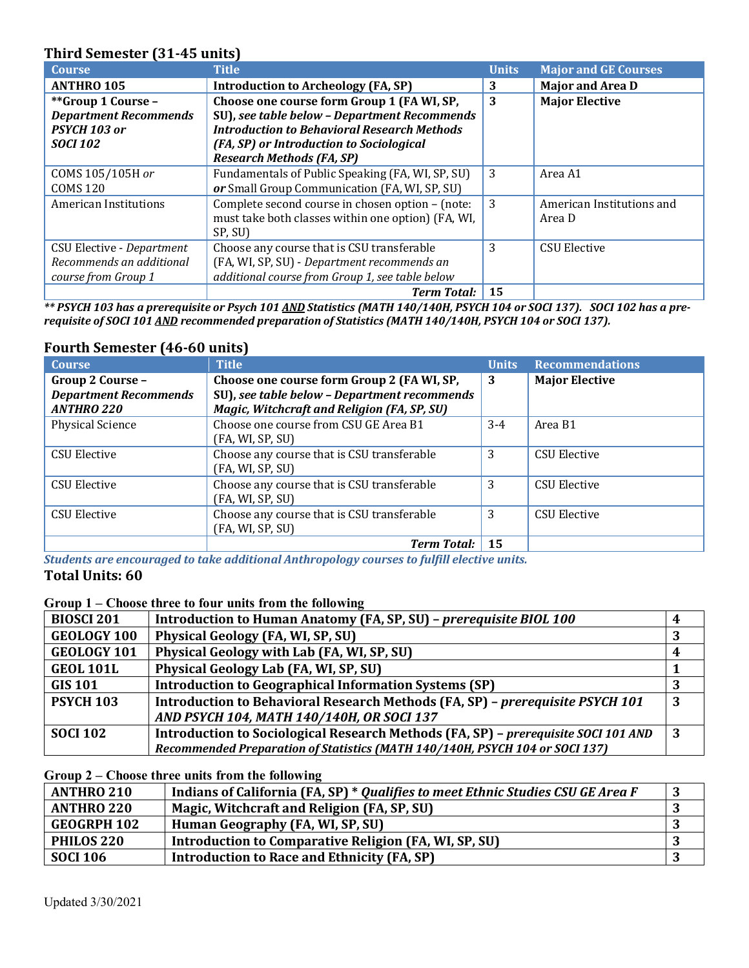### **Third Semester (31-45 units)**

| <b>Course</b>                                                                         | <b>Title</b>                                                                                                                                                                                                                     | <b>Units</b> | <b>Major and GE Courses</b>         |
|---------------------------------------------------------------------------------------|----------------------------------------------------------------------------------------------------------------------------------------------------------------------------------------------------------------------------------|--------------|-------------------------------------|
| <b>ANTHRO 105</b>                                                                     | <b>Introduction to Archeology (FA, SP)</b>                                                                                                                                                                                       | 3            | <b>Major and Area D</b>             |
| **Group 1 Course -<br><b>Department Recommends</b><br>PSYCH 103 or<br><b>SOCI 102</b> | Choose one course form Group 1 (FA WI, SP,<br>SU), see table below - Department Recommends<br><b>Introduction to Behavioral Research Methods</b><br>(FA, SP) or Introduction to Sociological<br><b>Research Methods (FA, SP)</b> | 3            | <b>Major Elective</b>               |
| COMS 105/105H or<br><b>COMS 120</b>                                                   | Fundamentals of Public Speaking (FA, WI, SP, SU)<br>or Small Group Communication (FA, WI, SP, SU)                                                                                                                                | 3            | Area A1                             |
| American Institutions                                                                 | Complete second course in chosen option - (note:<br>must take both classes within one option) (FA, WI,<br>SP, SU)                                                                                                                | 3            | American Institutions and<br>Area D |
| <b>CSU Elective - Department</b><br>Recommends an additional<br>course from Group 1   | Choose any course that is CSU transferable<br>(FA, WI, SP, SU) - Department recommends an<br>additional course from Group 1, see table below                                                                                     | 3            | <b>CSU Elective</b>                 |
|                                                                                       | <b>Term Total:</b>                                                                                                                                                                                                               | 15           |                                     |

*\*\* PSYCH 103 has a prerequisite or Psych 101 AND Statistics (MATH 140/140H, PSYCH 104 or SOCI 137). SOCI 102 has a prerequisite of SOCI 101 AND recommended preparation of Statistics (MATH 140/140H, PSYCH 104 or SOCI 137).* 

### **Fourth Semester (46-60 units)**

| <b>Course</b>                | <b>Title</b>                                 | <b>Units</b> | <b>Recommendations</b> |
|------------------------------|----------------------------------------------|--------------|------------------------|
| Group 2 Course -             | Choose one course form Group 2 (FA WI, SP,   | 3            | <b>Major Elective</b>  |
| <b>Department Recommends</b> | SU), see table below - Department recommends |              |                        |
| <b>ANTHRO 220</b>            | Magic, Witchcraft and Religion (FA, SP, SU)  |              |                        |
| <b>Physical Science</b>      | Choose one course from CSU GE Area B1        | $3-4$        | Area B1                |
|                              | (FA, WI, SP, SU)                             |              |                        |
| <b>CSU Elective</b>          | Choose any course that is CSU transferable   | 3            | <b>CSU Elective</b>    |
|                              | (FA, WI, SP, SU)                             |              |                        |
| CSU Elective                 | Choose any course that is CSU transferable   | 3            | CSU Elective           |
|                              | (FA, WI, SP, SU)                             |              |                        |
| <b>CSU Elective</b>          | Choose any course that is CSU transferable   | 3            | <b>CSU Elective</b>    |
|                              | (FA, WI, SP, SU)                             |              |                        |
|                              | <b>Term Total:</b>                           | 15           |                        |

*Students are encouraged to take additional Anthropology courses to fulfill elective units.*  **Total Units: 60**

#### **Group 1 – Choose three to four units from the following**

| <b>BIOSCI 201</b>  | Introduction to Human Anatomy (FA, SP, SU) – <i>prerequisite BIOL 100</i>          |   |
|--------------------|------------------------------------------------------------------------------------|---|
| <b>GEOLOGY 100</b> | Physical Geology (FA, WI, SP, SU)                                                  | 3 |
| <b>GEOLOGY 101</b> | Physical Geology with Lab (FA, WI, SP, SU)                                         |   |
| <b>GEOL 101L</b>   | Physical Geology Lab (FA, WI, SP, SU)                                              |   |
| <b>GIS 101</b>     | <b>Introduction to Geographical Information Systems (SP)</b>                       |   |
| <b>PSYCH 103</b>   | Introduction to Behavioral Research Methods (FA, SP) - prerequisite PSYCH 101      | 3 |
|                    | AND PSYCH 104, MATH 140/140H, OR SOCI 137                                          |   |
| <b>SOCI 102</b>    | Introduction to Sociological Research Methods (FA, SP) - prerequisite SOCI 101 AND | 3 |
|                    | Recommended Preparation of Statistics (MATH 140/140H, PSYCH 104 or SOCI 137)       |   |

#### **Group 2 – Choose three units from the following**

| <b>ANTHRO 210</b>     | Indians of California (FA, SP) * Qualifies to meet Ethnic Studies CSU GE Area F |  |
|-----------------------|---------------------------------------------------------------------------------|--|
| <b>ANTHRO 220</b>     | Magic, Witchcraft and Religion (FA, SP, SU)                                     |  |
| <b>GEOGRPH 102</b>    | Human Geography (FA, WI, SP, SU)                                                |  |
| PHILOS <sub>220</sub> | Introduction to Comparative Religion (FA, WI, SP, SU)                           |  |
| <b>SOCI 106</b>       | Introduction to Race and Ethnicity (FA, SP)                                     |  |